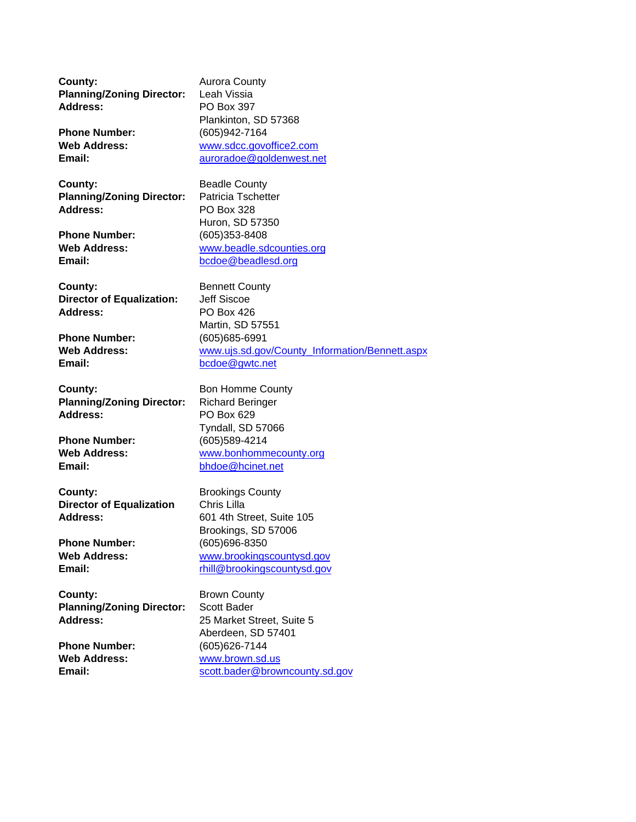**County:** Aurora County **Planning/Zoning Director:** Leah Vissia **Address:** PO Box 397

**County:** Beadle County **Planning/Zoning Director:** Patricia Tschetter **Address:** PO Box 328

**County:** Bennett County **Director of Equalization:** Jeff Siscoe **Address:** PO Box 426

**Phone Number:** (605)685-6991<br> **Web Address:** Web Address: WWW.ujs.sd.gov

**County:** Bon Homme County **Planning/Zoning Director:** Richard Beringer **Address:** PO Box 629

**County:** Brookings County **Director of Equalization** Chris Lilla Address: 601 4th Street, Suite 105

**County:** Brown County **Planning/Zoning Director:** Scott Bader

Plankinton, SD 57368 **Phone Number:** (605)942-7164 **Web Address:** www.sdcc.govoffice2.com **Email:** auroradoe@goldenwest.net

Huron, SD 57350 **Phone Number:** (605)353-8408 **Web Address:** www.beadle.sdcounties.org **Email:** bcdoe@beadlesd.org

Martin, SD 57551 www.ujs.sd.gov/County\_Information/Bennett.aspx **Email:** bcdoe@gwtc.net

Tyndall, SD 57066 **Phone Number:** (605)589-4214<br> **Web Address:** Www.bonhomm **Web Address:** www.bonhommecounty.org **Email:** bhdoe@hcinet.net

Brookings, SD 57006 **Phone Number:** (605)696-8350 **Web Address:** www.brookingscountysd.gov Email: **Email:** rhill@brookingscountysd.gov

**Address:** 25 Market Street, Suite 5 Aberdeen, SD 57401 **Phone Number:** (605)626-7144 **Web Address:** www.brown.sd.us **Email:** scott.bader@browncounty.sd.gov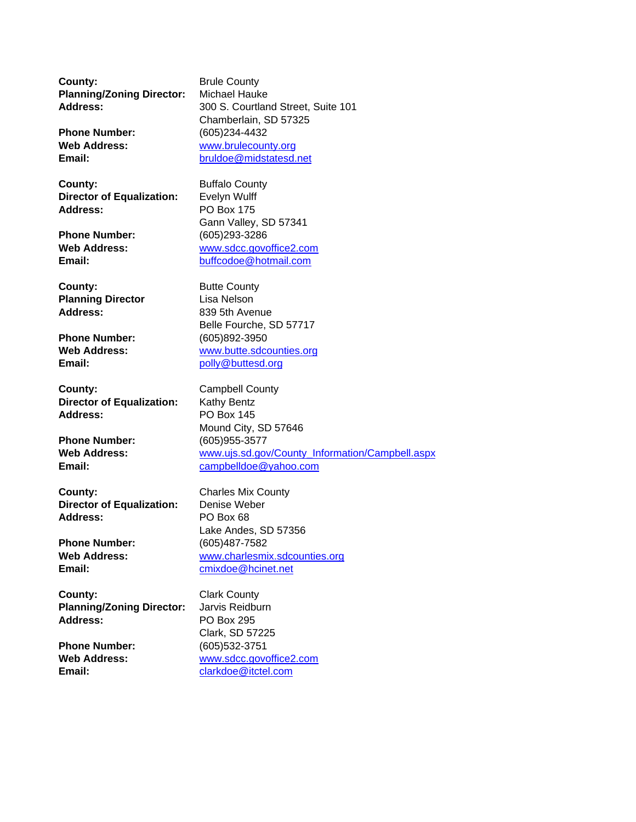**County:** Brule County **Planning/Zoning Director:** Michael Hauke

**County:** Buffalo County **Director of Equalization:** Evelyn Wulff **Address:** PO Box 175

**County:** Butte County **Planning Director** Lisa Nelson Address: 839 5th Avenue

**Phone Number:** (605)892-3950<br> **Web Address:** Web Address: Web Address:

**County:** Campbell County **Director of Equalization:** Kathy Bentz **Address:** PO Box 145

**County:** Charles Mix County **Director of Equalization:** Denise Weber **Address:** PO Box 68

**County:** Clark County **Planning/Zoning Director:** Jarvis Reidburn **Address:** PO Box 295

**Address:** 300 S. Courtland Street, Suite 101 Chamberlain, SD 57325 **Phone Number:** (605)234-4432 **Web Address:** www.brulecounty.org **Email:** bruldoe@midstatesd.net

Gann Valley, SD 57341 **Phone Number:** (605)293-3286 **Web Address:** www.sdcc.govoffice2.com Email: buffcodoe@hotmail.com

Belle Fourche, SD 57717 **Web Address:** www.butte.sdcounties.org Email: polly@buttesd.org

Mound City, SD 57646 **Phone Number:** (605)955-3577 **Web Address:** www.ujs.sd.gov/County\_Information/Campbell.aspx **Email:** campbelldoe@yahoo.com

Lake Andes, SD 57356 **Phone Number:** (605)487-7582 **Web Address:** www.charlesmix.sdcounties.org **Email:** cmixdoe@hcinet.net

Clark, SD 57225 **Phone Number:** (605)532-3751 Web Address: **WWW.Sdcc.govoffice2.com Email:** clarkdoe@itctel.com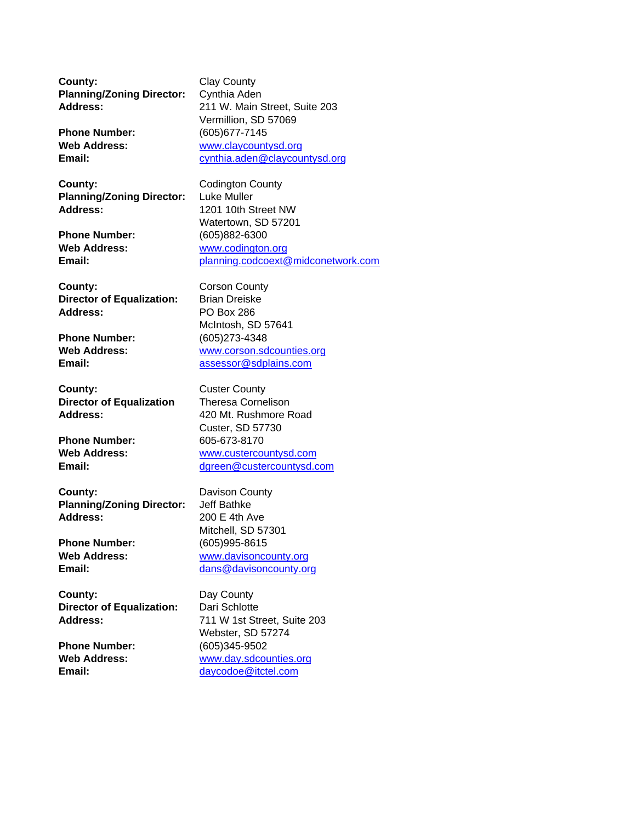**County:** Clay County **Planning/Zoning Director:** Cynthia Aden

**County:** Codington County **Planning/Zoning Director:** Luke Muller **Address:** 1201 10th Street NW

**County:** Corson County **Director of Equalization:** Brian Dreiske **Address:** PO Box 286

**Phone Number:** (605)273-4348<br> **Web Address:** WWW.corson.sd

**County:** Custer County **Director of Equalization** Theresa Cornelison Address: 420 Mt. Rushmore Road

**County:** Davison County **Planning/Zoning Director:** Jeff Bathke **Address:** 200 E 4th Ave

**County:** Day County: **Director of Equalization:** Dari Schlotte

**Address:** 211 W. Main Street, Suite 203 Vermillion, SD 57069 **Phone Number:** (605)677-7145 **Web Address:** www.claycountysd.org **Email:** cynthia.aden@claycountysd.org

Watertown, SD 57201 **Phone Number:** (605)882-6300 **Web Address:** www.codington.org **Email:** planning.codcoext@midconetwork.com

McIntosh, SD 57641 **Web Address:** www.corson.sdcounties.org **Email:** assessor@sdplains.com

Custer, SD 57730 **Phone Number:** 605-673-8170 **Web Address:** www.custercountysd.com Email: dgreen@custercountysd.com

Mitchell, SD 57301 **Phone Number:** (605)995-8615 **Web Address:** www.davisoncounty.org **Email:** dans@davisoncounty.org

**Address:** 711 W 1st Street, Suite 203 Webster, SD 57274 **Phone Number:** (605)345-9502 Web Address: **WADDNERS WWW.day.sdcounties.org Email:** daycodoe@itctel.com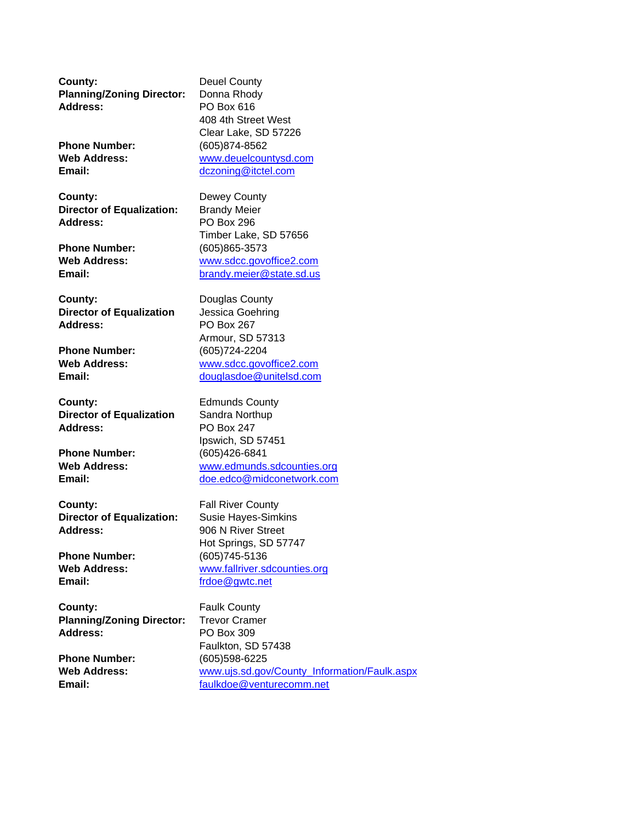**County:** Deuel County **Planning/Zoning Director:** Donna Rhody **Address:** PO Box 616

**Phone Number:** (605)874-8562

**County:** Dewey County **Director of Equalization:** Brandy Meier **Address:** PO Box 296

**County:** Douglas County **Director of Equalization** Jessica Goehring **Address:** PO Box 267

**Phone Number:** (605)724-2204

**County:** Edmunds County **Director of Equalization** Sandra Northup **Address:** PO Box 247

**Phone Number:** (605)426-6841

**County:** Fall River County **Director of Equalization:** Susie Hayes-Simkins Address: 906 N River Street

**Phone Number:** (605)745-5136 Email: frdoe@gwtc.net

**County:** Faulk County **Planning/Zoning Director:** Trevor Cramer **Address:** PO Box 309

408 4th Street West Clear Lake, SD 57226 **Web Address:** www.deuelcountysd.com **Email:** dczoning@itctel.com

Timber Lake, SD 57656 **Phone Number:** (605)865-3573 **Web Address:** www.sdcc.govoffice2.com **Email:** brandy.meier@state.sd.us

Armour, SD 57313 **Web Address:** www.sdcc.govoffice2.com **Email:** douglasdoe@unitelsd.com

Ipswich, SD 57451 Web Address: **WADDER WARES** www.edmunds.sdcounties.org **Email:** doe.edco@midconetwork.com

Hot Springs, SD 57747 **Web Address:** www.fallriver.sdcounties.org

Faulkton, SD 57438 **Phone Number:** (605)598-6225 Web Address: www.ujs.sd.gov/County\_Information/Faulk.aspx **Email:** faulkdoe@venturecomm.net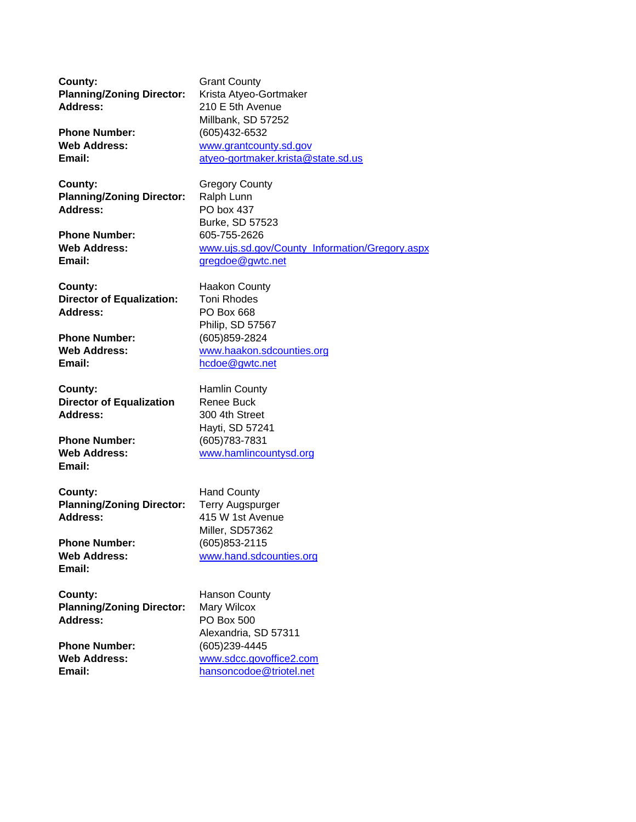**County:** Grant County **Planning/Zoning Director:** Krista Atyeo-Gortmaker **Address:** 210 E 5th Avenue

**County:** Gregory County: **Planning/Zoning Director:** Ralph Lunn **Address:** PO box 437

**County:** Haakon County **Director of Equalization:** Toni Rhodes **Address:** PO Box 668

**Phone Number:** (605)859-2824<br>
Web Address: Web Andress: Web Address:

**County:** Hamlin County **Director of Equalization** Renee Buck Address: 300 4th Street

**Email:**

**County:** Hand County **Planning/Zoning Director:** Terry Augspurger **Address:** 415 W 1st Avenue

**Email:**

**County:** Hanson County **Planning/Zoning Director:** Mary Wilcox **Address:** PO Box 500

Millbank, SD 57252 **Phone Number:** (605)432-6532 **Web Address:** www.grantcounty.sd.gov **Email:** atyeo-gortmaker.krista@state.sd.us

Burke, SD 57523 **Phone Number:** 605-755-2626 **Web Address:** www.ujs.sd.gov/County\_Information/Gregory.aspx **Email:** gregdoe@gwtc.net

Philip, SD 57567 **Web Address:** www.haakon.sdcounties.org **Email:** hcdoe@gwtc.net

Hayti, SD 57241 **Phone Number:** (605)783-7831 **Web Address:** www.hamlincountysd.org

Miller, SD57362 **Phone Number:** (605)853-2115 **Web Address:** www.hand.sdcounties.org

Alexandria, SD 57311 **Phone Number:** (605)239-4445 **Web Address:** www.sdcc.govoffice2.com **Email:** hansoncodoe@triotel.net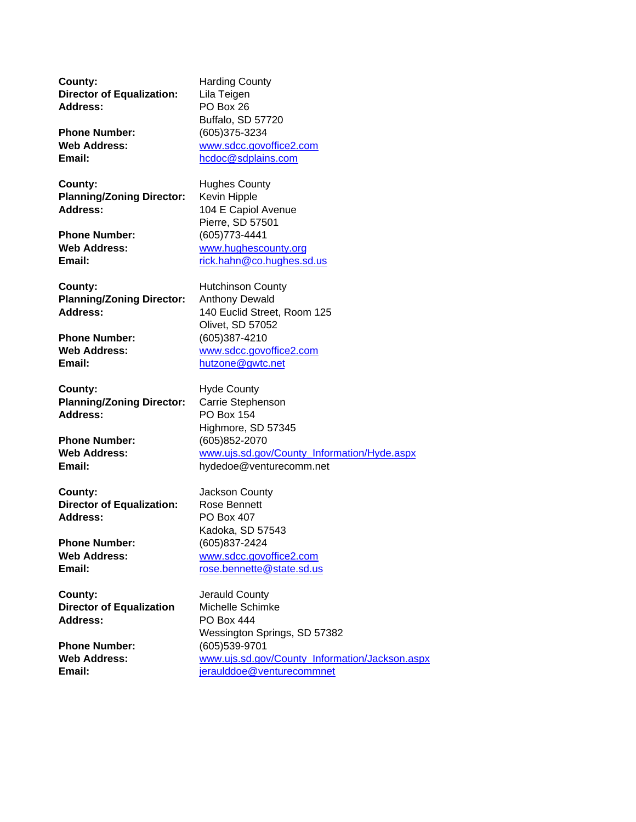**County:** Harding County **Director of Equalization:** Lila Teigen **Address:** PO Box 26

**County:** Hughes County: **Planning/Zoning Director:** Kevin Hipple Address: 104 E Capiol Avenue

**County:** Hutchinson County **Planning/Zoning Director:** Anthony Dewald

**County:** Hyde County: **Planning/Zoning Director:** Carrie Stephenson **Address:** PO Box 154

**County:** Jackson County **Director of Equalization:** Rose Bennett **Address:** PO Box 407

**County:** Jerauld County **Director of Equalization** Michelle Schimke **Address:** PO Box 444

Buffalo, SD 57720 **Phone Number:** (605)375-3234 **Web Address:** www.sdcc.govoffice2.com **Email:** hcdoc@sdplains.com

Pierre, SD 57501 **Phone Number:** (605)773-4441 **Web Address:** www.hughescounty.org **Email:** Fig. 2013 Fig. 2014 Trick.hahn@co.hughes.sd.us

**Address:** 140 Euclid Street, Room 125 Olivet, SD 57052 **Phone Number:** (605)387-4210<br>
Web Address: Web Andress: Www.sdcc.gove **Web Address:** www.sdcc.govoffice2.com **Email:** hutzone@gwtc.net

Highmore, SD 57345 **Phone Number:** (605)852-2070 **Web Address:** www.ujs.sd.gov/County\_Information/Hyde.aspx **Email:** hydedoe@venturecomm.net

Kadoka, SD 57543 **Phone Number:** (605)837-2424 **Web Address:** www.sdcc.govoffice2.com **Email:** rose.bennette@state.sd.us

Wessington Springs, SD 57382 **Phone Number:** (605)539-9701 **Web Address:** www.ujs.sd.gov/County\_Information/Jackson.aspx Email: ieraulddoe@venturecommnet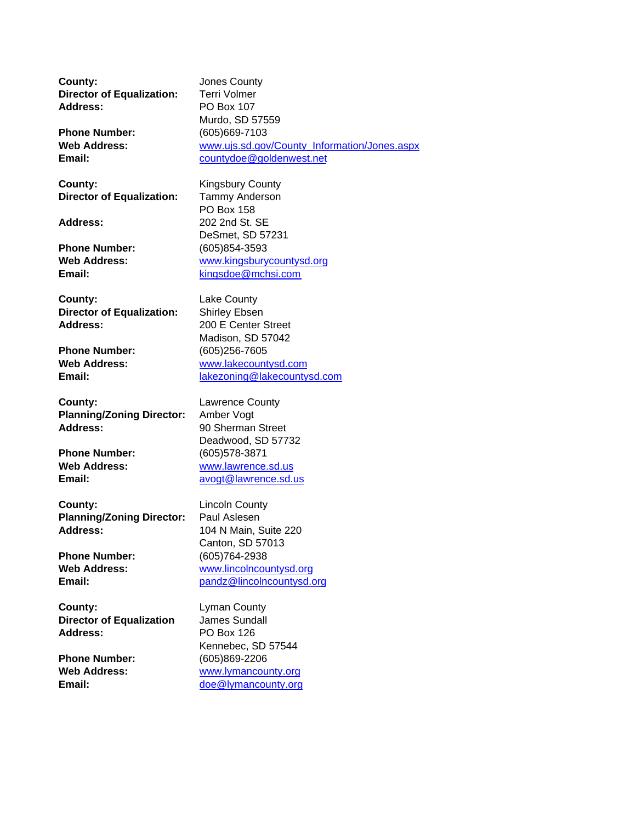**County:** Jones County **Director of Equalization:** Terri Volmer **Address:** PO Box 107

**County:** Kingsbury County **Director of Equalization:** Tammy Anderson

**Phone Number:** (605)854-3593

**County:** Lake County **Director of Equalization:** Shirley Ebsen **Address:** 200 E Center Street

**Phone Number:** (605)256-7605

**County:** Lawrence County **Planning/Zoning Director:** Amber Vogt **Address:** 90 Sherman Street

**Phone Number:** (605)578-3871

**County:** Lincoln County **Planning/Zoning Director:** Paul Aslesen **Address:** 104 N Main, Suite 220

**Phone Number:** (605)764-2938

**County:** Lyman County **Director of Equalization** James Sundall **Address:** PO Box 126

Murdo, SD 57559 **Phone Number:** (605)669-7103 **Web Address:** www.ujs.sd.gov/County\_Information/Jones.aspx **Email:** countydoe@goldenwest.net

PO Box 158 **Address:** 202 2nd St. SE DeSmet, SD 57231 **Web Address:** www.kingsburycountysd.org **Email:** kingsdoe@mchsi.com

Madison, SD 57042 **Web Address:** www.lakecountysd.com Email: lakezoning@lakecountysd.com

Deadwood, SD 57732 **Web Address:** www.lawrence.sd.us **Email:** avogt@lawrence.sd.us

Canton, SD 57013 **Web Address:** www.lincolncountysd.org **Email:** pandz@lincolncountysd.org

Kennebec, SD 57544 **Phone Number:** (605)869-2206 **Web Address:** www.lymancounty.org **Email:** doe@lymancounty.org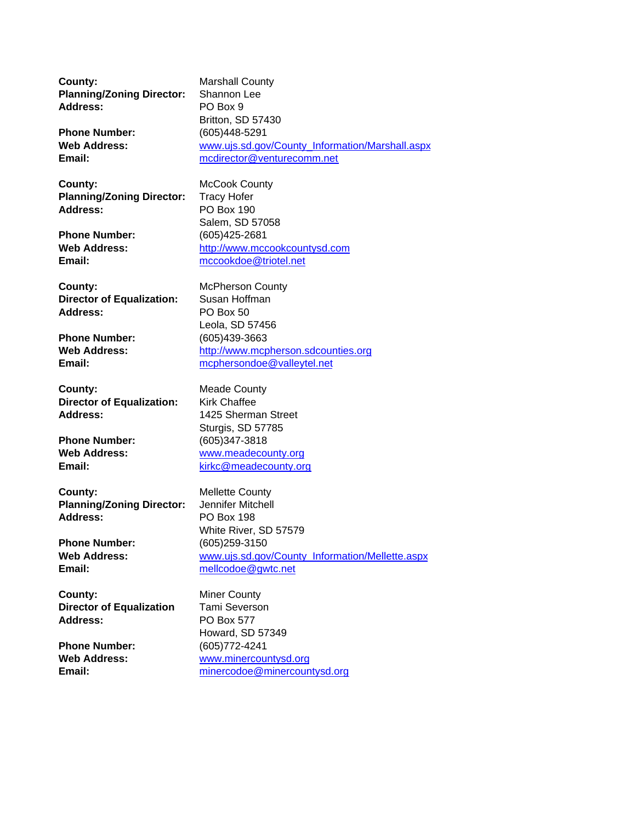**County:** Marshall County **Planning/Zoning Director:** Shannon Lee **Address:** PO Box 9 Britton, SD 57430 **Phone Number:** (605)448-5291 **Web Address:** www.ujs.sd.gov/County\_Information/Marshall.aspx **Email:** mcdirector@venturecomm.net **County:** McCook County **Planning/Zoning Director:** Tracy Hofer **Address:** PO Box 190 Salem, SD 57058 **Phone Number:** (605)425-2681 Web Address: http://www.mccookcountysd.com **Email:** mccookdoe@triotel.net **County:** McPherson County **Director of Equalization:** Susan Hoffman **Address:** PO Box 50 Leola, SD 57456 **Phone Number:** (605)439-3663<br> **Web Address:** http://www.mcp **Web Address:** http://www.mcpherson.sdcounties.org Email: **Email:** mcphersondoe@valleytel.net **County:** Meade County **Director of Equalization:** Kirk Chaffee **Address:** 1425 Sherman Street Sturgis, SD 57785 **Phone Number:** (605)347-3818 **Web Address:** www.meadecounty.org **Email:** kirkc@meadecounty.org **County:** Mellette County **Planning/Zoning Director:** Jennifer Mitchell **Address:** PO Box 198 White River, SD 57579 **Phone Number:** (605)259-3150 Web Address: www.ujs.sd.gov/County\_Information/Mellette.aspx **Email:** mellcodoe@gwtc.net **County:** Miner County **Director of Equalization** Tami Severson **Address:** PO Box 577 Howard, SD 57349 **Phone Number:** (605)772-4241 **Web Address:** www.minercountysd.org Email: minercodoe@minercountysd.org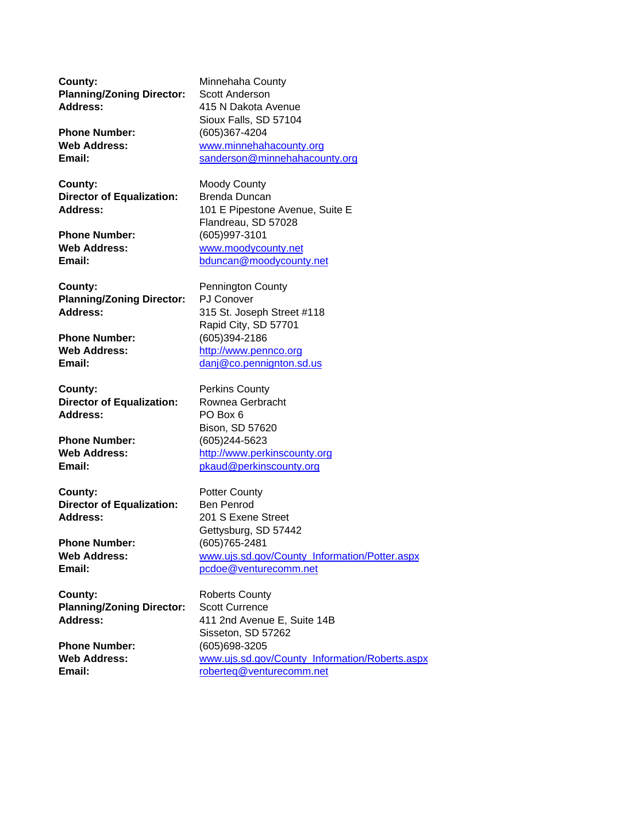**County:** Minnehaha County **Planning/Zoning Director:** Scott Anderson **Address:** 415 N Dakota Avenue

**County:** Moody County **Director of Equalization:** Brenda Duncan

**County:** Pennington County **Planning/Zoning Director:** PJ Conover

**County:** Perkins County **Director of Equalization:** Rownea Gerbracht **Address:** PO Box 6

**County:** Potter County **Director of Equalization:** Ben Penrod **Address:** 201 S Exene Street

**County:** Roberts County **Planning/Zoning Director:** Scott Currence

Sioux Falls, SD 57104 **Phone Number:** (605)367-4204 **Web Address:** www.minnehahacounty.org **Email:** sanderson@minnehahacounty.org

Address: 101 E Pipestone Avenue, Suite E Flandreau, SD 57028 **Phone Number:** (605)997-3101 **Web Address:** www.moodycounty.net **Email:** bduncan@moodycounty.net

**Address:** 315 St. Joseph Street #118 Rapid City, SD 57701 **Phone Number:** (605)394-2186<br> **Web Address:** http://www.peni **Web Address:** http://www.pennco.org Email: danj@co.pennignton.sd.us

Bison, SD 57620 **Phone Number:** (605)244-5623 **Web Address:** http://www.perkinscounty.org **Email: Email:** pkaud@perkinscounty.org

Gettysburg, SD 57442 **Phone Number:** (605)765-2481 Web Address: www.ujs.sd.gov/County\_Information/Potter.aspx **Email:** pcdoe@venturecomm.net

**Address:** 411 2nd Avenue E, Suite 14B Sisseton, SD 57262 **Phone Number:** (605)698-3205 **Web Address:** www.ujs.sd.gov/County\_Information/Roberts.aspx **Email:** roberteq@venturecomm.net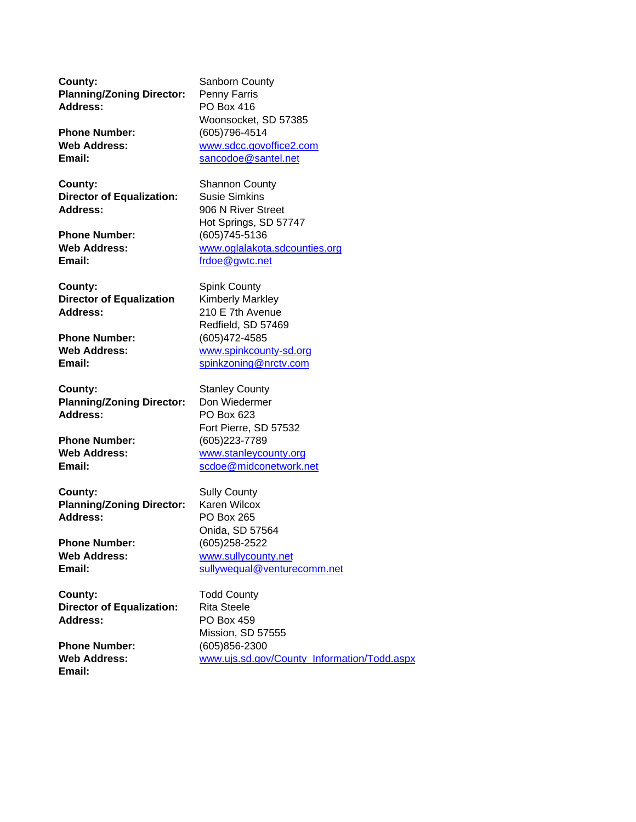**County:** Sanborn County **Planning/Zoning Director:** Penny Farris **Address:** PO Box 416

**County:** Shannon County **Director of Equalization:** Susie Simkins Address: 906 N River Street

**Email:** frdoe@gwtc.net

**County:** Spink County **Director of Equalization** Kimberly Markley **Address:** 210 E 7th Avenue

**Phone Number:** (605)472-4585<br> **Web Address:** Web Anders (www.spinkcour

**County:** Stanley County **Planning/Zoning Director:** Don Wiedermer **Address:** PO Box 623

**County:** Sully County **Planning/Zoning Director:** Karen Wilcox **Address:** PO Box 265

**County:** Todd County **Director of Equalization:** Rita Steele **Address:** PO Box 459

**Email:**

Woonsocket, SD 57385 **Phone Number:** (605)796-4514 **Web Address:** www.sdcc.govoffice2.com **Email:** sancodoe@santel.net

Hot Springs, SD 57747 **Phone Number:** (605)745-5136 **Web Address:** www.oglalakota.sdcounties.org

Redfield, SD 57469 **Web Address:** www.spinkcounty-sd.org **Email:** spinkzoning@nrctv.com

Fort Pierre, SD 57532 **Phone Number:** (605)223-7789 **Web Address:** www.stanleycounty.org Email: scdoe@midconetwork.net

Onida, SD 57564 **Phone Number:** (605)258-2522 **Web Address:** www.sullycounty.net **Email:** sullywequal@venturecomm.net

Mission, SD 57555 **Phone Number:** (605)856-2300 **Web Address:** www.ujs.sd.gov/County\_Information/Todd.aspx